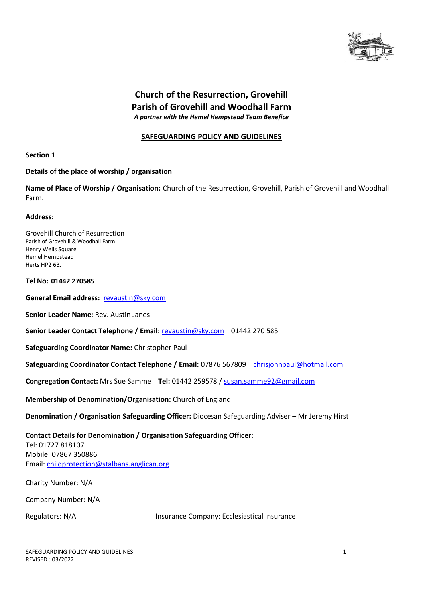

# **Church of the Resurrection, Grovehill Parish of Grovehill and Woodhall Farm** *A partner with the Hemel Hempstead Team Benefice*

#### **SAFEGUARDING POLICY AND GUIDELINES**

#### **Section 1**

#### **Details of the place of worship / organisation**

**Name of Place of Worship / Organisation:** Church of the Resurrection, Grovehill, Parish of Grovehill and Woodhall Farm.

#### **Address:**

Grovehill Church of Resurrection Parish of Grovehill & Woodhall Farm Henry Wells Square Hemel Hempstead Herts HP2 6BJ

#### **Tel No: 01442 270585**

**General Email address:** [revaustin@sky.com](about:blank) 

**Senior Leader Name:** Rev. Austin Janes

**Senior Leader Contact Telephone / Email:** [revaustin@sky.com](about:blank) 01442 270 585

**Safeguarding Coordinator Name:** Christopher Paul

**Safeguarding Coordinator Contact Telephone / Email:** 07876 567809 [chrisjohnpaul@hotmail.com](about:blank)

**Congregation Contact:** Mrs Sue Samme **Tel:** 01442 259578 / [susan.samme92@gmail.com](about:blank)

**Membership of Denomination/Organisation:** Church of England

**Denomination / Organisation Safeguarding Officer:** Diocesan Safeguarding Adviser – Mr Jeremy Hirst

**Contact Details for Denomination / Organisation Safeguarding Officer:** Tel: 01727 818107 Mobile: 07867 350886 Email: [childprotection@stalbans.anglican.org](about:blank)

Charity Number: N/A

Company Number: N/A

Regulators: N/A Insurance Company: Ecclesiastical insurance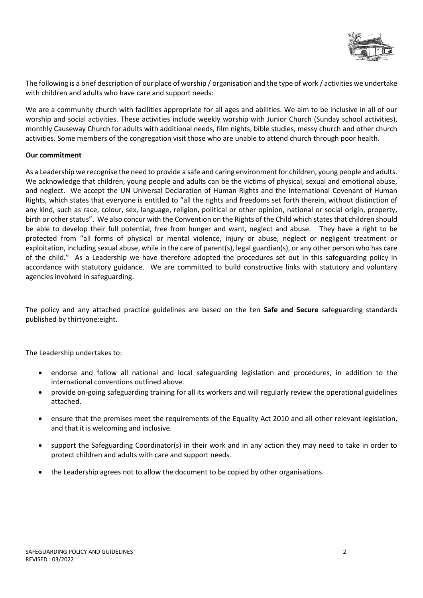

The following is a brief description of our place of worship / organisation and the type of work / activities we undertake with children and adults who have care and support needs:

We are a community church with facilities appropriate for all ages and abilities. We aim to be inclusive in all of our worship and social activities. These activities include weekly worship with Junior Church (Sunday school activities), monthly Causeway Church for adults with additional needs, film nights, bible studies, messy church and other church activities. Some members of the congregation visit those who are unable to attend church through poor health.

#### **Our commitment**

As a Leadership we recognise the need to provide a safe and caring environment for children, young people and adults. We acknowledge that children, young people and adults can be the victims of physical, sexual and emotional abuse, and neglect. We accept the UN Universal Declaration of Human Rights and the International Covenant of Human Rights, which states that everyone is entitled to "all the rights and freedoms set forth therein, without distinction of any kind, such as race, colour, sex, language, religion, political or other opinion, national or social origin, property, birth or other status". We also concur with the Convention on the Rights of the Child which states that children should be able to develop their full potential, free from hunger and want, neglect and abuse. They have a right to be protected from "all forms of physical or mental violence, injury or abuse, neglect or negligent treatment or exploitation, including sexual abuse, while in the care of parent(s), legal guardian(s), or any other person who has care of the child." As a Leadership we have therefore adopted the procedures set out in this safeguarding policy in accordance with statutory guidance. We are committed to build constructive links with statutory and voluntary agencies involved in safeguarding.

The policy and any attached practice guidelines are based on the ten **Safe and Secure** safeguarding standards published by thirtyone:eight.

The Leadership undertakes to:

- endorse and follow all national and local safeguarding legislation and procedures, in addition to the international conventions outlined above.
- provide on-going safeguarding training for all its workers and will regularly review the operational guidelines attached.
- ensure that the premises meet the requirements of the Equality Act 2010 and all other relevant legislation, and that it is welcoming and inclusive.
- support the Safeguarding Coordinator(s) in their work and in any action they may need to take in order to protect children and adults with care and support needs.
- the Leadership agrees not to allow the document to be copied by other organisations.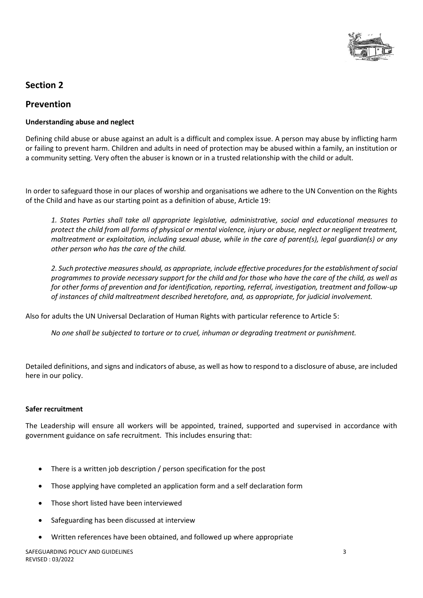

# **Section 2**

## **Prevention**

#### **Understanding abuse and neglect**

Defining child abuse or abuse against an adult is a difficult and complex issue. A person may abuse by inflicting harm or failing to prevent harm. Children and adults in need of protection may be abused within a family, an institution or a community setting. Very often the abuser is known or in a trusted relationship with the child or adult.

In order to safeguard those in our places of worship and organisations we adhere to the UN Convention on the Rights of the Child and have as our starting point as a definition of abuse, Article 19:

*1. States Parties shall take all appropriate legislative, administrative, social and educational measures to protect the child from all forms of physical or mental violence, injury or abuse, neglect or negligent treatment, maltreatment or exploitation, including sexual abuse, while in the care of parent(s), legal guardian(s) or any other person who has the care of the child.* 

*2. Such protective measures should, as appropriate, include effective procedures for the establishment of social programmes to provide necessary support for the child and for those who have the care of the child, as well as for other forms of prevention and for identification, reporting, referral, investigation, treatment and follow-up of instances of child maltreatment described heretofore, and, as appropriate, for judicial involvement.* 

Also for adults the UN Universal Declaration of Human Rights with particular reference to Article 5:

*No one shall be subjected to torture or to cruel, inhuman or degrading treatment or punishment.*

Detailed definitions, and signs and indicators of abuse, as well as how to respond to a disclosure of abuse, are included here in our policy.

#### **Safer recruitment**

The Leadership will ensure all workers will be appointed, trained, supported and supervised in accordance with government guidance on safe recruitment. This includes ensuring that:

- There is a written job description / person specification for the post
- Those applying have completed an application form and a self declaration form
- Those short listed have been interviewed
- Safeguarding has been discussed at interview
- Written references have been obtained, and followed up where appropriate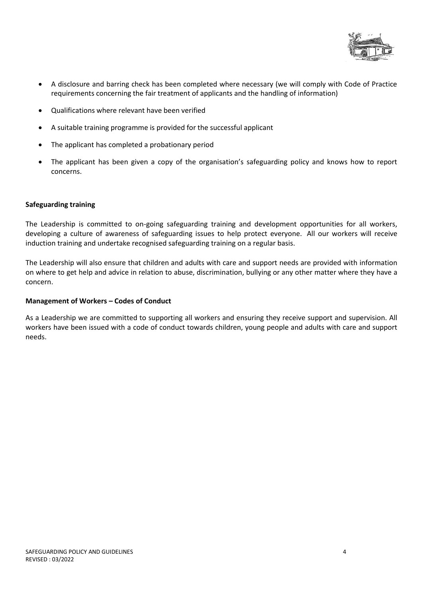

- A disclosure and barring check has been completed where necessary (we will comply with Code of Practice requirements concerning the fair treatment of applicants and the handling of information)
- Qualifications where relevant have been verified
- A suitable training programme is provided for the successful applicant
- The applicant has completed a probationary period
- The applicant has been given a copy of the organisation's safeguarding policy and knows how to report concerns.

#### **Safeguarding training**

The Leadership is committed to on-going safeguarding training and development opportunities for all workers, developing a culture of awareness of safeguarding issues to help protect everyone. All our workers will receive induction training and undertake recognised safeguarding training on a regular basis.

The Leadership will also ensure that children and adults with care and support needs are provided with information on where to get help and advice in relation to abuse, discrimination, bullying or any other matter where they have a concern.

#### **Management of Workers – Codes of Conduct**

As a Leadership we are committed to supporting all workers and ensuring they receive support and supervision. All workers have been issued with a code of conduct towards children, young people and adults with care and support needs.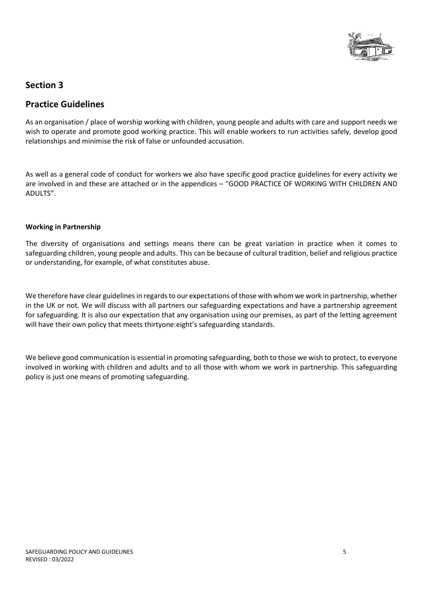

# **Section 3**

# **Practice Guidelines**

As an organisation / place of worship working with children, young people and adults with care and support needs we wish to operate and promote good working practice. This will enable workers to run activities safely, develop good relationships and minimise the risk of false or unfounded accusation.

As well as a general code of conduct for workers we also have specific good practice guidelines for every activity we are involved in and these are attached or in the appendices – "GOOD PRACTICE OF WORKING WITH CHILDREN AND ADULTS".

#### **Working in Partnership**

The diversity of organisations and settings means there can be great variation in practice when it comes to safeguarding children, young people and adults. This can be because of cultural tradition, belief and religious practice or understanding, for example, of what constitutes abuse.

We therefore have clear guidelines in regards to our expectations of those with whom we work in partnership, whether in the UK or not. We will discuss with all partners our safeguarding expectations and have a partnership agreement for safeguarding. It is also our expectation that any organisation using our premises, as part of the letting agreement will have their own policy that meets thirtyone: eight's safeguarding standards.

We believe good communication is essential in promoting safeguarding, both to those we wish to protect, to everyone involved in working with children and adults and to all those with whom we work in partnership. This safeguarding policy is just one means of promoting safeguarding.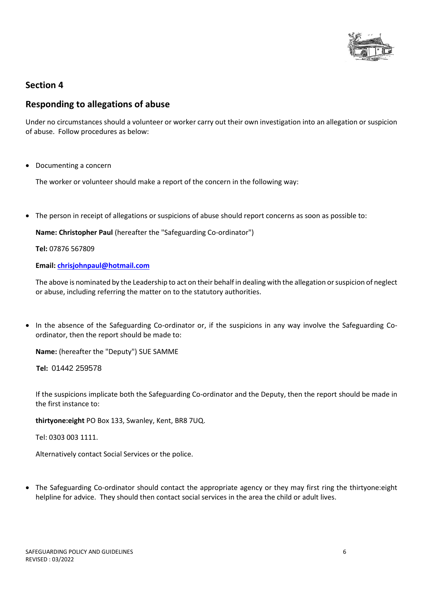

# **Section 4**

## **Responding to allegations of abuse**

Under no circumstances should a volunteer or worker carry out their own investigation into an allegation or suspicion of abuse. Follow procedures as below:

• Documenting a concern

The worker or volunteer should make a report of the concern in the following way:

• The person in receipt of allegations or suspicions of abuse should report concerns as soon as possible to:

**Name: Christopher Paul** (hereafter the "Safeguarding Co-ordinator")

**Tel:** 07876 567809

#### **Email: [chrisjohnpaul@hotmail.com](about:blank)**

The above is nominated by the Leadership to act on their behalf in dealing with the allegation or suspicion of neglect or abuse, including referring the matter on to the statutory authorities.

• In the absence of the Safeguarding Co-ordinator or, if the suspicions in any way involve the Safeguarding Coordinator, then the report should be made to:

**Name:** (hereafter the "Deputy") SUE SAMME

 **Tel:** 01442 259578

If the suspicions implicate both the Safeguarding Co-ordinator and the Deputy, then the report should be made in the first instance to:

**thirtyone:eight** PO Box 133, Swanley, Kent, BR8 7UQ.

Tel: 0303 003 1111.

Alternatively contact Social Services or the police.

• The Safeguarding Co-ordinator should contact the appropriate agency or they may first ring the thirtyone:eight helpline for advice. They should then contact social services in the area the child or adult lives.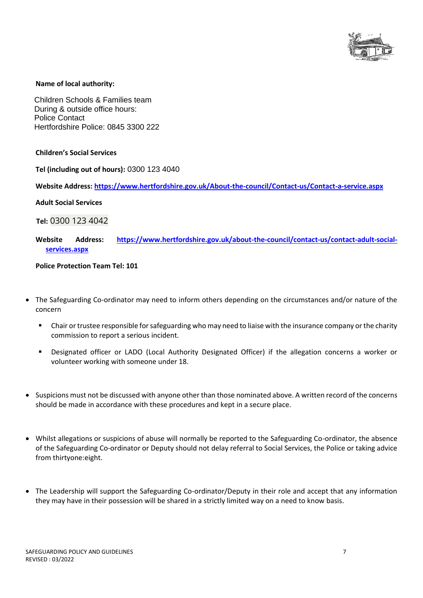

#### **Name of local authority:**

 Children Schools & Families team During & outside office hours: Police Contact Hertfordshire Police: 0845 3300 222

**Children's Social Services**

**Tel (including out of hours):** 0300 123 4040

**Website Address: [https://www.hertfordshire.gov.uk/About-the-council/Contact-us/Contact-a-service.aspx](about:blank)**

**Adult Social Services**

 **Tel:** 0300 123 4042

#### **Website Address: [https://www.hertfordshire.gov.uk/about-the-council/contact-us/contact-adult-social](about:blank)[services.aspx](about:blank)**

#### **Police Protection Team Tel: 101**

- The Safeguarding Co-ordinator may need to inform others depending on the circumstances and/or nature of the concern
	- Chair or trustee responsible for safeguarding who may need to liaise with the insurance company or the charity commission to report a serious incident.
	- Designated officer or LADO (Local Authority Designated Officer) if the allegation concerns a worker or volunteer working with someone under 18.
- Suspicions must not be discussed with anyone other than those nominated above. A written record of the concerns should be made in accordance with these procedures and kept in a secure place.
- Whilst allegations or suspicions of abuse will normally be reported to the Safeguarding Co-ordinator, the absence of the Safeguarding Co-ordinator or Deputy should not delay referral to Social Services, the Police or taking advice from thirtyone:eight.
- The Leadership will support the Safeguarding Co-ordinator/Deputy in their role and accept that any information they may have in their possession will be shared in a strictly limited way on a need to know basis.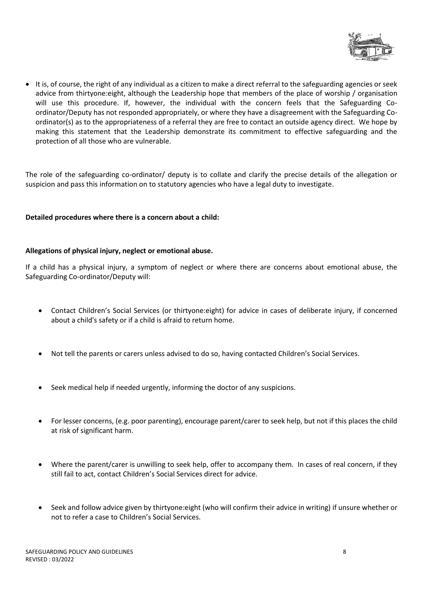

• It is, of course, the right of any individual as a citizen to make a direct referral to the safeguarding agencies or seek advice from thirtyone:eight, although the Leadership hope that members of the place of worship / organisation will use this procedure. If, however, the individual with the concern feels that the Safeguarding Coordinator/Deputy has not responded appropriately, or where they have a disagreement with the Safeguarding Coordinator(s) as to the appropriateness of a referral they are free to contact an outside agency direct. We hope by making this statement that the Leadership demonstrate its commitment to effective safeguarding and the protection of all those who are vulnerable.

The role of the safeguarding co-ordinator/ deputy is to collate and clarify the precise details of the allegation or suspicion and pass this information on to statutory agencies who have a legal duty to investigate.

#### **Detailed procedures where there is a concern about a child:**

#### **Allegations of physical injury, neglect or emotional abuse.**

If a child has a physical injury, a symptom of neglect or where there are concerns about emotional abuse, the Safeguarding Co-ordinator/Deputy will:

- Contact Children's Social Services (or thirtyone:eight) for advice in cases of deliberate injury, if concerned about a child's safety or if a child is afraid to return home.
- Not tell the parents or carers unless advised to do so, having contacted Children's Social Services.
- Seek medical help if needed urgently, informing the doctor of any suspicions.
- For lesser concerns, (e.g. poor parenting), encourage parent/carer to seek help, but not if this places the child at risk of significant harm.
- Where the parent/carer is unwilling to seek help, offer to accompany them. In cases of real concern, if they still fail to act, contact Children's Social Services direct for advice.
- Seek and follow advice given by thirtyone:eight (who will confirm their advice in writing) if unsure whether or not to refer a case to Children's Social Services.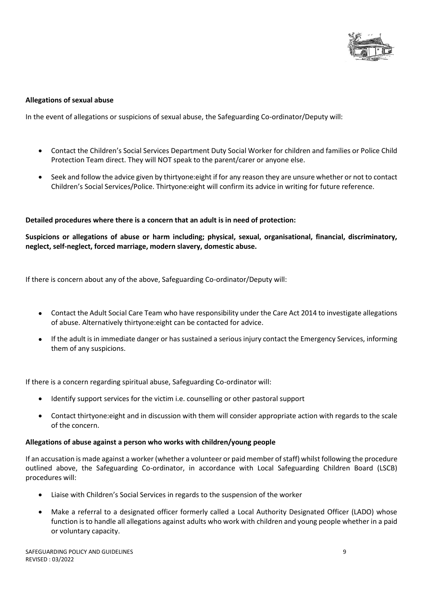

#### **Allegations of sexual abuse**

In the event of allegations or suspicions of sexual abuse, the Safeguarding Co-ordinator/Deputy will:

- Contact the Children's Social Services Department Duty Social Worker for children and families or Police Child Protection Team direct. They will NOT speak to the parent/carer or anyone else.
- Seek and follow the advice given by thirtyone:eight if for any reason they are unsure whether or not to contact Children's Social Services/Police. Thirtyone:eight will confirm its advice in writing for future reference.

#### **Detailed procedures where there is a concern that an adult is in need of protection:**

**Suspicions or allegations of abuse or harm including; physical, sexual, organisational, financial, discriminatory, neglect, self-neglect, forced marriage, modern slavery, domestic abuse.**

If there is concern about any of the above, Safeguarding Co-ordinator/Deputy will:

- Contact the Adult Social Care Team who have responsibility under the Care Act 2014 to investigate allegations of abuse. Alternatively thirtyone:eight can be contacted for advice.
- If the adult is in immediate danger or has sustained a serious injury contact the Emergency Services, informing them of any suspicions.

If there is a concern regarding spiritual abuse, Safeguarding Co-ordinator will:

- Identify support services for the victim i.e. counselling or other pastoral support
- Contact thirtyone:eight and in discussion with them will consider appropriate action with regards to the scale of the concern.

#### **Allegations of abuse against a person who works with children/young people**

If an accusation is made against a worker (whether a volunteer or paid member of staff) whilst following the procedure outlined above, the Safeguarding Co-ordinator, in accordance with Local Safeguarding Children Board (LSCB) procedures will:

- Liaise with Children's Social Services in regards to the suspension of the worker
- Make a referral to a designated officer formerly called a Local Authority Designated Officer (LADO) whose function is to handle all allegations against adults who work with children and young people whether in a paid or voluntary capacity.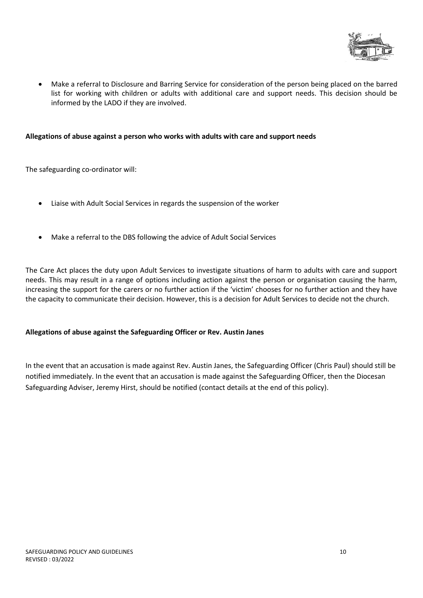

• Make a referral to Disclosure and Barring Service for consideration of the person being placed on the barred list for working with children or adults with additional care and support needs. This decision should be informed by the LADO if they are involved.

#### **Allegations of abuse against a person who works with adults with care and support needs**

The safeguarding co-ordinator will:

- Liaise with Adult Social Services in regards the suspension of the worker
- Make a referral to the DBS following the advice of Adult Social Services

The Care Act places the duty upon Adult Services to investigate situations of harm to adults with care and support needs. This may result in a range of options including action against the person or organisation causing the harm, increasing the support for the carers or no further action if the 'victim' chooses for no further action and they have the capacity to communicate their decision. However, this is a decision for Adult Services to decide not the church.

#### **Allegations of abuse against the Safeguarding Officer or Rev. Austin Janes**

In the event that an accusation is made against Rev. Austin Janes, the Safeguarding Officer (Chris Paul) should still be notified immediately. In the event that an accusation is made against the Safeguarding Officer, then the Diocesan Safeguarding Adviser, Jeremy Hirst, should be notified (contact details at the end of this policy).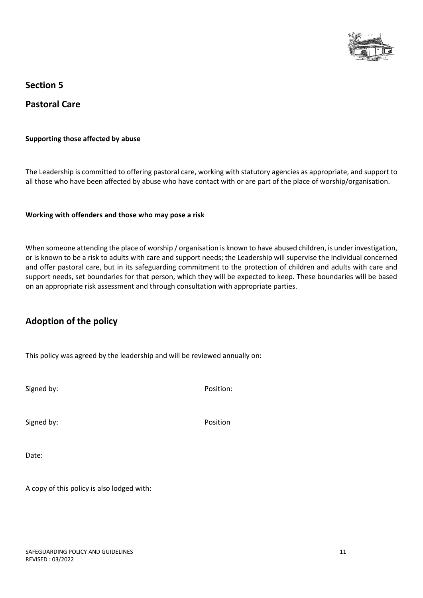

**Section 5**

**Pastoral Care**

#### **Supporting those affected by abuse**

The Leadership is committed to offering pastoral care, working with statutory agencies as appropriate, and support to all those who have been affected by abuse who have contact with or are part of the place of worship/organisation.

#### **Working with offenders and those who may pose a risk**

When someone attending the place of worship / organisation is known to have abused children, is under investigation, or is known to be a risk to adults with care and support needs; the Leadership will supervise the individual concerned and offer pastoral care, but in its safeguarding commitment to the protection of children and adults with care and support needs, set boundaries for that person, which they will be expected to keep. These boundaries will be based on an appropriate risk assessment and through consultation with appropriate parties.

# **Adoption of the policy**

This policy was agreed by the leadership and will be reviewed annually on:

Signed by: Position:

Signed by: Position

Date:

A copy of this policy is also lodged with: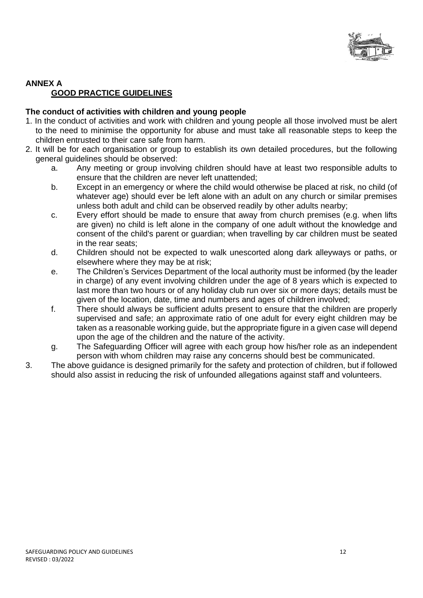

## **ANNEX A GOOD PRACTICE GUIDELINES**

## **The conduct of activities with children and young people**

- 1. In the conduct of activities and work with children and young people all those involved must be alert to the need to minimise the opportunity for abuse and must take all reasonable steps to keep the children entrusted to their care safe from harm.
- 2. It will be for each organisation or group to establish its own detailed procedures, but the following general guidelines should be observed:
	- a. Any meeting or group involving children should have at least two responsible adults to ensure that the children are never left unattended;
	- b. Except in an emergency or where the child would otherwise be placed at risk, no child (of whatever age) should ever be left alone with an adult on any church or similar premises unless both adult and child can be observed readily by other adults nearby;
	- c. Every effort should be made to ensure that away from church premises (e.g. when lifts are given) no child is left alone in the company of one adult without the knowledge and consent of the child's parent or guardian; when travelling by car children must be seated in the rear seats;
	- d. Children should not be expected to walk unescorted along dark alleyways or paths, or elsewhere where they may be at risk;
	- e. The Children's Services Department of the local authority must be informed (by the leader in charge) of any event involving children under the age of 8 years which is expected to last more than two hours or of any holiday club run over six or more days; details must be given of the location, date, time and numbers and ages of children involved;
	- f. There should always be sufficient adults present to ensure that the children are properly supervised and safe; an approximate ratio of one adult for every eight children may be taken as a reasonable working guide, but the appropriate figure in a given case will depend upon the age of the children and the nature of the activity.
	- g. The Safeguarding Officer will agree with each group how his/her role as an independent person with whom children may raise any concerns should best be communicated.
- 3. The above guidance is designed primarily for the safety and protection of children, but if followed should also assist in reducing the risk of unfounded allegations against staff and volunteers.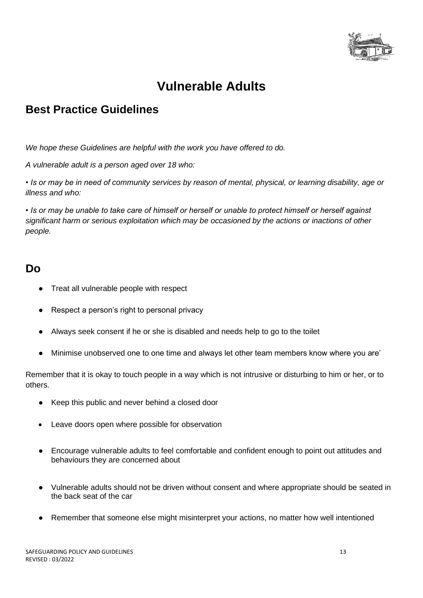

# **Vulnerable Adults**

# **Best Practice Guidelines**

*We hope these Guidelines are helpful with the work you have offered to do.* 

*A vulnerable adult is a person aged over 18 who:*

*• Is or may be in need of community services by reason of mental, physical, or learning disability, age or illness and who:*

*• Is or may be unable to take care of himself or herself or unable to protect himself or herself against significant harm or serious exploitation which may be occasioned by the actions or inactions of other people.*

# **Do**

- Treat all vulnerable people with respect
- Respect a person's right to personal privacy
- Always seek consent if he or she is disabled and needs help to go to the toilet
- Minimise unobserved one to one time and always let other team members know where you are'

Remember that it is okay to touch people in a way which is not intrusive or disturbing to him or her, or to others.

- Keep this public and never behind a closed door
- Leave doors open where possible for observation
- Encourage vulnerable adults to feel comfortable and confident enough to point out attitudes and behaviours they are concerned about
- Vulnerable adults should not be driven without consent and where appropriate should be seated in the back seat of the car
- Remember that someone else might misinterpret your actions, no matter how well intentioned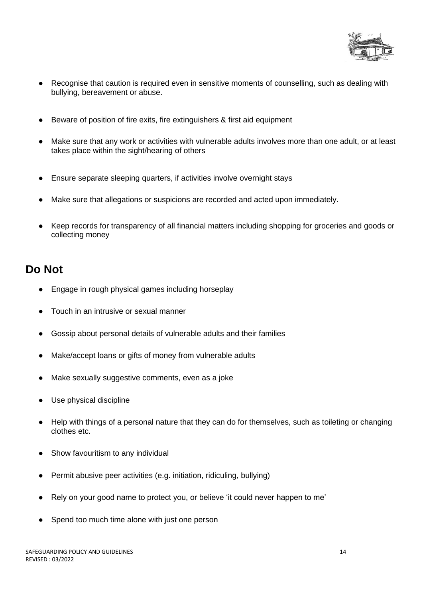

- Recognise that caution is required even in sensitive moments of counselling, such as dealing with bullying, bereavement or abuse.
- Beware of position of fire exits, fire extinguishers & first aid equipment
- Make sure that any work or activities with vulnerable adults involves more than one adult, or at least takes place within the sight/hearing of others
- Ensure separate sleeping quarters, if activities involve overnight stays
- Make sure that allegations or suspicions are recorded and acted upon immediately.
- Keep records for transparency of all financial matters including shopping for groceries and goods or collecting money

# **Do Not**

- Engage in rough physical games including horseplay
- Touch in an intrusive or sexual manner
- Gossip about personal details of vulnerable adults and their families
- Make/accept loans or gifts of money from vulnerable adults
- Make sexually suggestive comments, even as a joke
- Use physical discipline
- Help with things of a personal nature that they can do for themselves, such as toileting or changing clothes etc.
- Show favouritism to any individual
- Permit abusive peer activities (e.g. initiation, ridiculing, bullying)
- Rely on your good name to protect you, or believe 'it could never happen to me'
- Spend too much time alone with just one person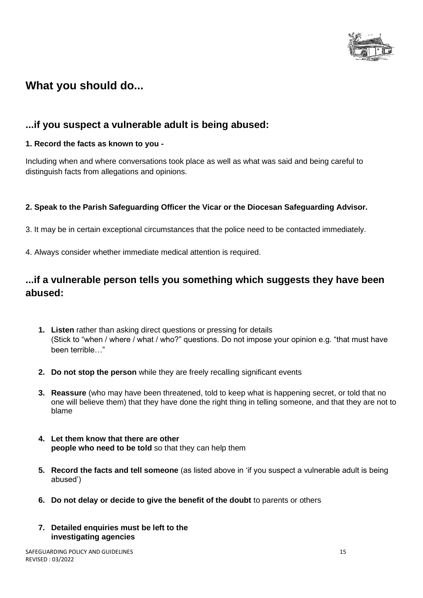

# **What you should do...**

# **...if you suspect a vulnerable adult is being abused:**

## **1. Record the facts as known to you -**

Including when and where conversations took place as well as what was said and being careful to distinguish facts from allegations and opinions.

## **2. Speak to the Parish Safeguarding Officer the Vicar or the Diocesan Safeguarding Advisor.**

- 3. It may be in certain exceptional circumstances that the police need to be contacted immediately.
- 4. Always consider whether immediate medical attention is required.

# **...if a vulnerable person tells you something which suggests they have been abused:**

- **1. Listen** rather than asking direct questions or pressing for details (Stick to "when / where / what / who?" questions. Do not impose your opinion e.g. "that must have been terrible…"
- **2. Do not stop the person** while they are freely recalling significant events
- **3. Reassure** (who may have been threatened, told to keep what is happening secret, or told that no one will believe them) that they have done the right thing in telling someone, and that they are not to blame
- **4. Let them know that there are other people who need to be told** so that they can help them
- **5. Record the facts and tell someone** (as listed above in 'if you suspect a vulnerable adult is being abused')
- **6. Do not delay or decide to give the benefit of the doubt** to parents or others
- **7. Detailed enquiries must be left to the investigating agencies**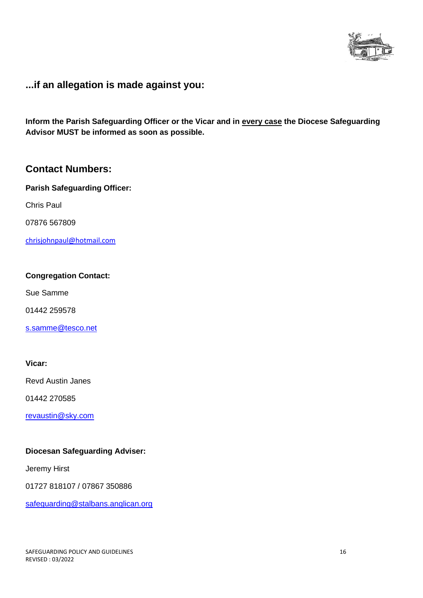

# **...if an allegation is made against you:**

**Inform the Parish Safeguarding Officer or the Vicar and in every case the Diocese Safeguarding Advisor MUST be informed as soon as possible.** 

# **Contact Numbers:**

**Parish Safeguarding Officer:** 

Chris Paul

07876 567809

[chrisjohnpaul@hotmail.com](about:blank)

#### **Congregation Contact:**

Sue Samme

01442 259578

[s.samme@tesco.net](about:blank)

#### **Vicar:**

Revd Austin Janes

01442 270585

[revaustin@sky.com](about:blank)

#### **Diocesan Safeguarding Adviser:**

Jeremy Hirst

01727 818107 / 07867 350886

safeguarding@stalbans.anglican.org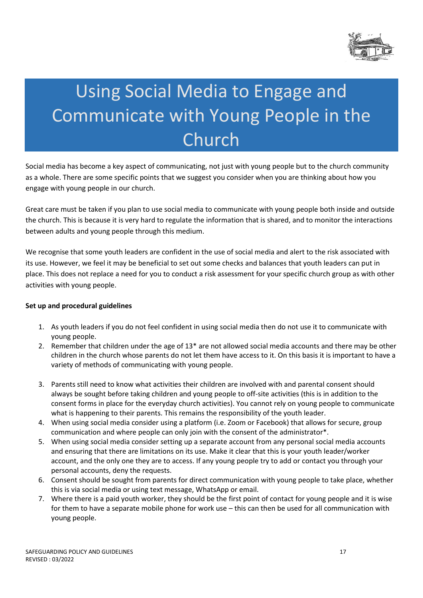

# Using Social Media to Engage and Communicate with Young People in the Church

Social media has become a key aspect of communicating, not just with young people but to the church community as a whole. There are some specific points that we suggest you consider when you are thinking about how you engage with young people in our church.

Great care must be taken if you plan to use social media to communicate with young people both inside and outside the church. This is because it is very hard to regulate the information that is shared, and to monitor the interactions between adults and young people through this medium.

We recognise that some youth leaders are confident in the use of social media and alert to the risk associated with its use. However, we feel it may be beneficial to set out some checks and balances that youth leaders can put in place. This does not replace a need for you to conduct a risk assessment for your specific church group as with other activities with young people.

#### **Set up and procedural guidelines**

- 1. As youth leaders if you do not feel confident in using social media then do not use it to communicate with young people.
- 2. Remember that children under the age of 13\* are not allowed social media accounts and there may be other children in the church whose parents do not let them have access to it. On this basis it is important to have a variety of methods of communicating with young people.
- 3. Parents still need to know what activities their children are involved with and parental consent should always be sought before taking children and young people to off-site activities (this is in addition to the consent forms in place for the everyday church activities). You cannot rely on young people to communicate what is happening to their parents. This remains the responsibility of the youth leader.
- 4. When using social media consider using a platform (i.e. Zoom or Facebook) that allows for secure, group communication and where people can only join with the consent of the administrator\*.
- 5. When using social media consider setting up a separate account from any personal social media accounts and ensuring that there are limitations on its use. Make it clear that this is your youth leader/worker account, and the only one they are to access. If any young people try to add or contact you through your personal accounts, deny the requests.
- 6. Consent should be sought from parents for direct communication with young people to take place, whether this is via social media or using text message, WhatsApp or email.
- 7. Where there is a paid youth worker, they should be the first point of contact for young people and it is wise for them to have a separate mobile phone for work use – this can then be used for all communication with young people.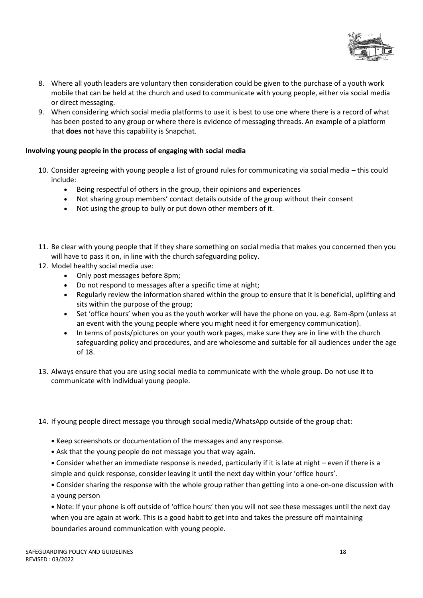

- 8. Where all youth leaders are voluntary then consideration could be given to the purchase of a youth work mobile that can be held at the church and used to communicate with young people, either via social media or direct messaging.
- 9. When considering which social media platforms to use it is best to use one where there is a record of what has been posted to any group or where there is evidence of messaging threads. An example of a platform that **does not** have this capability is Snapchat.

#### **Involving young people in the process of engaging with social media**

- 10. Consider agreeing with young people a list of ground rules for communicating via social media this could include:
	- Being respectful of others in the group, their opinions and experiences
	- Not sharing group members' contact details outside of the group without their consent
	- Not using the group to bully or put down other members of it.
- 11. Be clear with young people that if they share something on social media that makes you concerned then you will have to pass it on, in line with the church safeguarding policy.
- 12. Model healthy social media use:
	- Only post messages before 8pm;
	- Do not respond to messages after a specific time at night;
	- Regularly review the information shared within the group to ensure that it is beneficial, uplifting and sits within the purpose of the group;
	- Set 'office hours' when you as the youth worker will have the phone on you. e.g. 8am-8pm (unless at an event with the young people where you might need it for emergency communication).
	- In terms of posts/pictures on your youth work pages, make sure they are in line with the church safeguarding policy and procedures, and are wholesome and suitable for all audiences under the age of 18.
- 13. Always ensure that you are using social media to communicate with the whole group. Do not use it to communicate with individual young people.
- 14. If young people direct message you through social media/WhatsApp outside of the group chat:
	- Keep screenshots or documentation of the messages and any response.
	- Ask that the young people do not message you that way again.
	- Consider whether an immediate response is needed, particularly if it is late at night even if there is a simple and quick response, consider leaving it until the next day within your 'office hours'.
	- Consider sharing the response with the whole group rather than getting into a one-on-one discussion with a young person
	- Note: If your phone is off outside of 'office hours' then you will not see these messages until the next day when you are again at work. This is a good habit to get into and takes the pressure off maintaining boundaries around communication with young people.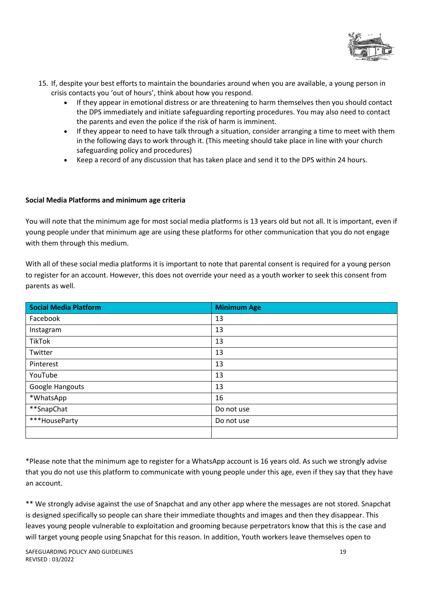

- 15. If, despite your best efforts to maintain the boundaries around when you are available, a young person in crisis contacts you 'out of hours', think about how you respond.
	- If they appear in emotional distress or are threatening to harm themselves then you should contact the DPS immediately and initiate safeguarding reporting procedures. You may also need to contact the parents and even the police if the risk of harm is imminent.
	- If they appear to need to have talk through a situation, consider arranging a time to meet with them in the following days to work through it. (This meeting should take place in line with your church safeguarding policy and procedures)
	- Keep a record of any discussion that has taken place and send it to the DPS within 24 hours.

#### **Social Media Platforms and minimum age criteria**

You will note that the minimum age for most social media platforms is 13 years old but not all. It is important, even if young people under that minimum age are using these platforms for other communication that you do not engage with them through this medium.

With all of these social media platforms it is important to note that parental consent is required for a young person to register for an account. However, this does not override your need as a youth worker to seek this consent from parents as well.

| <b>Social Media Platform</b> | <b>Minimum Age</b> |
|------------------------------|--------------------|
| Facebook                     | 13                 |
| Instagram                    | 13                 |
| <b>TikTok</b>                | 13                 |
| Twitter                      | 13                 |
| Pinterest                    | 13                 |
| YouTube                      | 13                 |
| Google Hangouts              | 13                 |
| *WhatsApp                    | 16                 |
| **SnapChat                   | Do not use         |
| ***HouseParty                | Do not use         |
|                              |                    |

\*Please note that the minimum age to register for a WhatsApp account is 16 years old. As such we strongly advise that you do not use this platform to communicate with young people under this age, even if they say that they have an account.

\*\* We strongly advise against the use of Snapchat and any other app where the messages are not stored. Snapchat is designed specifically so people can share their immediate thoughts and images and then they disappear. This leaves young people vulnerable to exploitation and grooming because perpetrators know that this is the case and will target young people using Snapchat for this reason. In addition, Youth workers leave themselves open to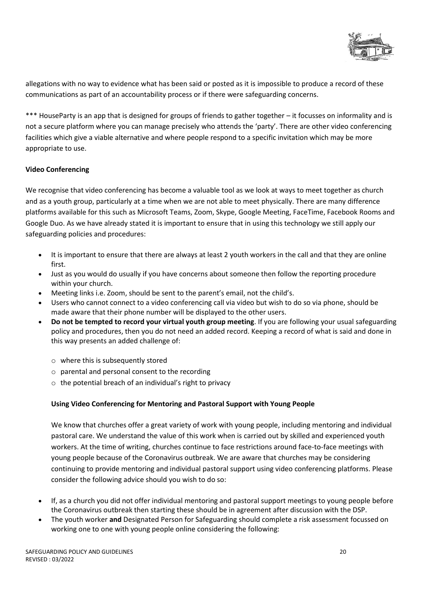

allegations with no way to evidence what has been said or posted as it is impossible to produce a record of these communications as part of an accountability process or if there were safeguarding concerns.

\*\*\* HouseParty is an app that is designed for groups of friends to gather together – it focusses on informality and is not a secure platform where you can manage precisely who attends the 'party'. There are other video conferencing facilities which give a viable alternative and where people respond to a specific invitation which may be more appropriate to use.

#### **Video Conferencing**

We recognise that video conferencing has become a valuable tool as we look at ways to meet together as church and as a youth group, particularly at a time when we are not able to meet physically. There are many difference platforms available for this such as Microsoft Teams, Zoom, Skype, Google Meeting, FaceTime, Facebook Rooms and Google Duo. As we have already stated it is important to ensure that in using this technology we still apply our safeguarding policies and procedures:

- It is important to ensure that there are always at least 2 youth workers in the call and that they are online first.
- Just as you would do usually if you have concerns about someone then follow the reporting procedure within your church.
- Meeting links i.e. Zoom, should be sent to the parent's email, not the child's.
- Users who cannot connect to a video conferencing call via video but wish to do so via phone, should be made aware that their phone number will be displayed to the other users.
- **Do not be tempted to record your virtual youth group meeting**. If you are following your usual safeguarding policy and procedures, then you do not need an added record. Keeping a record of what is said and done in this way presents an added challenge of:
	- o where this is subsequently stored
	- o parental and personal consent to the recording
	- $\circ$  the potential breach of an individual's right to privacy

#### **Using Video Conferencing for Mentoring and Pastoral Support with Young People**

We know that churches offer a great variety of work with young people, including mentoring and individual pastoral care. We understand the value of this work when is carried out by skilled and experienced youth workers. At the time of writing, churches continue to face restrictions around face-to-face meetings with young people because of the Coronavirus outbreak. We are aware that churches may be considering continuing to provide mentoring and individual pastoral support using video conferencing platforms. Please consider the following advice should you wish to do so:

- If, as a church you did not offer individual mentoring and pastoral support meetings to young people before the Coronavirus outbreak then starting these should be in agreement after discussion with the DSP.
- The youth worker **and** Designated Person for Safeguarding should complete a risk assessment focussed on working one to one with young people online considering the following: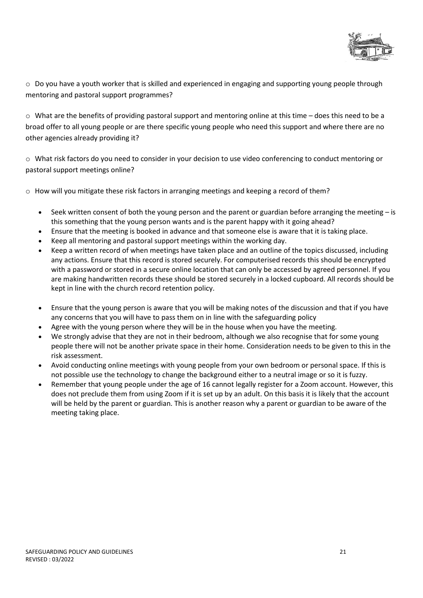

 $\circ$  Do you have a youth worker that is skilled and experienced in engaging and supporting young people through mentoring and pastoral support programmes?

 $\circ$  What are the benefits of providing pastoral support and mentoring online at this time – does this need to be a broad offer to all young people or are there specific young people who need this support and where there are no other agencies already providing it?

o What risk factors do you need to consider in your decision to use video conferencing to conduct mentoring or pastoral support meetings online?

 $\circ$  How will you mitigate these risk factors in arranging meetings and keeping a record of them?

- Seek written consent of both the young person and the parent or guardian before arranging the meeting is this something that the young person wants and is the parent happy with it going ahead?
- Ensure that the meeting is booked in advance and that someone else is aware that it is taking place.
- Keep all mentoring and pastoral support meetings within the working day.
- Keep a written record of when meetings have taken place and an outline of the topics discussed, including any actions. Ensure that this record is stored securely. For computerised records this should be encrypted with a password or stored in a secure online location that can only be accessed by agreed personnel. If you are making handwritten records these should be stored securely in a locked cupboard. All records should be kept in line with the church record retention policy.
- Ensure that the young person is aware that you will be making notes of the discussion and that if you have any concerns that you will have to pass them on in line with the safeguarding policy
- Agree with the young person where they will be in the house when you have the meeting.
- We strongly advise that they are not in their bedroom, although we also recognise that for some young people there will not be another private space in their home. Consideration needs to be given to this in the risk assessment.
- Avoid conducting online meetings with young people from your own bedroom or personal space. If this is not possible use the technology to change the background either to a neutral image or so it is fuzzy.
- Remember that young people under the age of 16 cannot legally register for a Zoom account. However, this does not preclude them from using Zoom if it is set up by an adult. On this basis it is likely that the account will be held by the parent or guardian. This is another reason why a parent or guardian to be aware of the meeting taking place.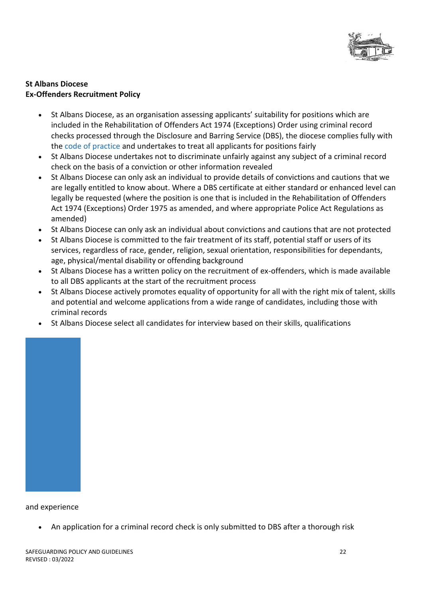

#### **St Albans Diocese Ex-Offenders Recruitment Policy**

- St Albans Diocese, as an organisation assessing applicants' suitability for positions which are included in the Rehabilitation of Offenders Act 1974 (Exceptions) Order using criminal record checks processed through the Disclosure and Barring Service (DBS), the diocese complies fully with the code of practice and undertakes to treat all applicants for positions fairly
- St Albans Diocese undertakes not to discriminate unfairly against any subject of a criminal record check on the basis of a conviction or other information revealed
- St Albans Diocese can only ask an individual to provide details of convictions and cautions that we are legally entitled to know about. Where a DBS certificate at either standard or enhanced level can legally be requested (where the position is one that is included in the Rehabilitation of Offenders Act 1974 (Exceptions) Order 1975 as amended, and where appropriate Police Act Regulations as amended)
- St Albans Diocese can only ask an individual about convictions and cautions that are not protected
- St Albans Diocese is committed to the fair treatment of its staff, potential staff or users of its services, regardless of race, gender, religion, sexual orientation, responsibilities for dependants, age, physical/mental disability or offending background
- St Albans Diocese has a written policy on the recruitment of ex-offenders, which is made available to all DBS applicants at the start of the recruitment process
- St Albans Diocese actively promotes equality of opportunity for all with the right mix of talent, skills and potential and welcome applications from a wide range of candidates, including those with criminal records
- St Albans Diocese select all candidates for interview based on their skills, qualifications



#### and experience

• An application for a criminal record check is only submitted to DBS after a thorough risk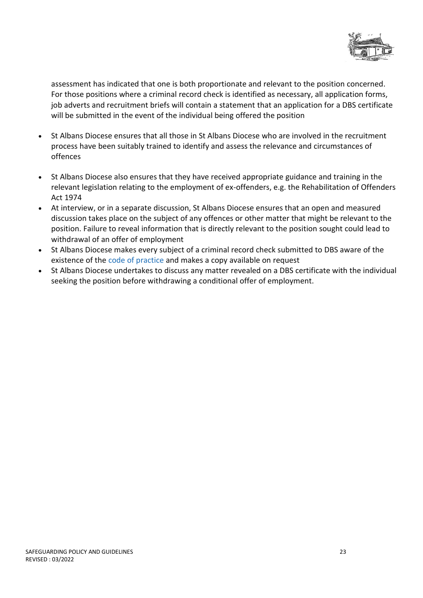

assessment has indicated that one is both proportionate and relevant to the position concerned. For those positions where a criminal record check is identified as necessary, all application forms, job adverts and recruitment briefs will contain a statement that an application for a DBS certificate will be submitted in the event of the individual being offered the position

- St Albans Diocese ensures that all those in St Albans Diocese who are involved in the recruitment process have been suitably trained to identify and assess the relevance and circumstances of offences
- St Albans Diocese also ensures that they have received appropriate guidance and training in the relevant legislation relating to the employment of ex-offenders, e.g. the Rehabilitation of Offenders Act 1974
- At interview, or in a separate discussion, St Albans Diocese ensures that an open and measured discussion takes place on the subject of any offences or other matter that might be relevant to the position. Failure to reveal information that is directly relevant to the position sought could lead to withdrawal of an offer of employment
- St Albans Diocese makes every subject of a criminal record check submitted to DBS aware of the existence of the code of practice and makes a copy available on request
- St Albans Diocese undertakes to discuss any matter revealed on a DBS certificate with the individual seeking the position before withdrawing a conditional offer of employment.